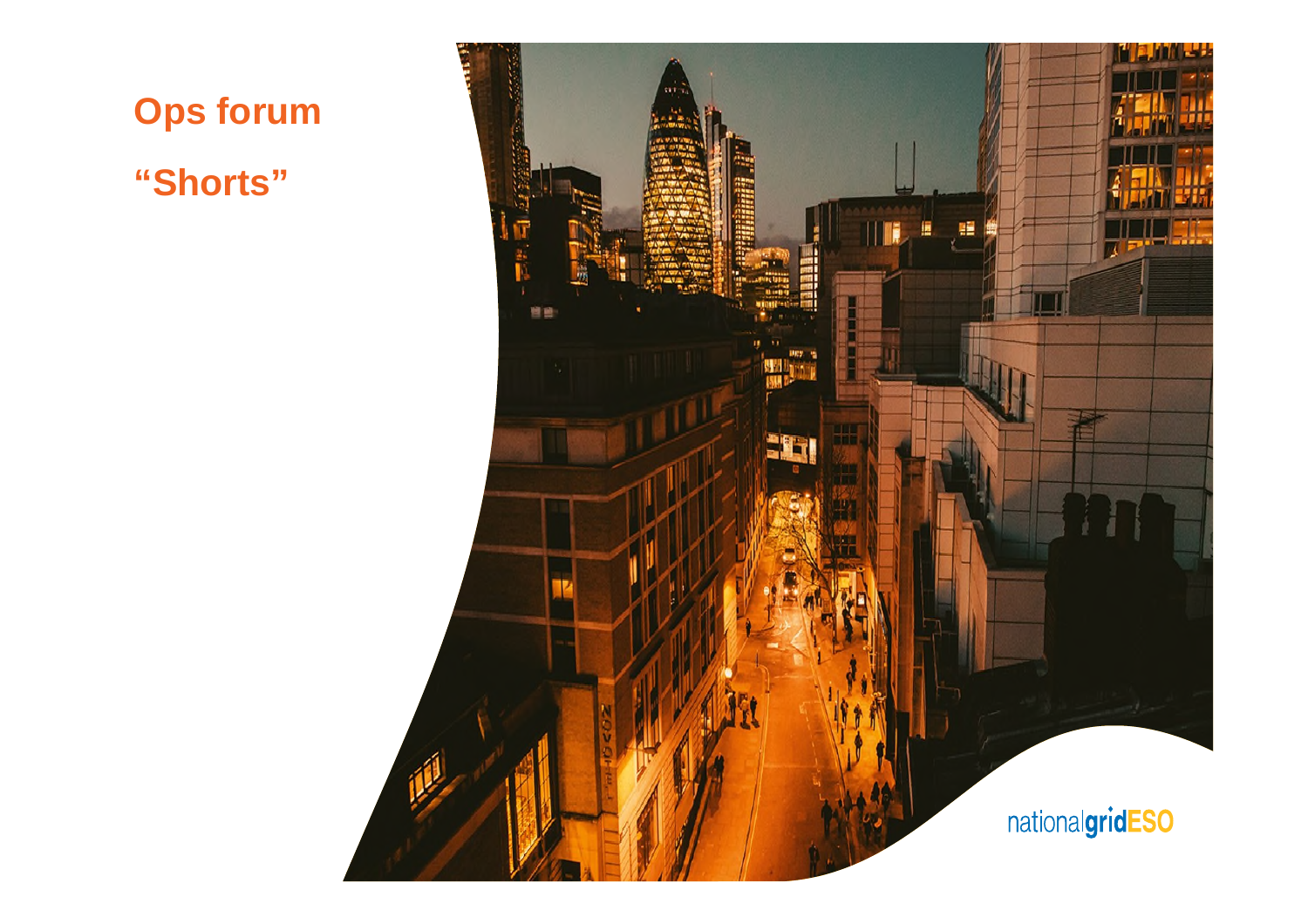

**"Shorts"**

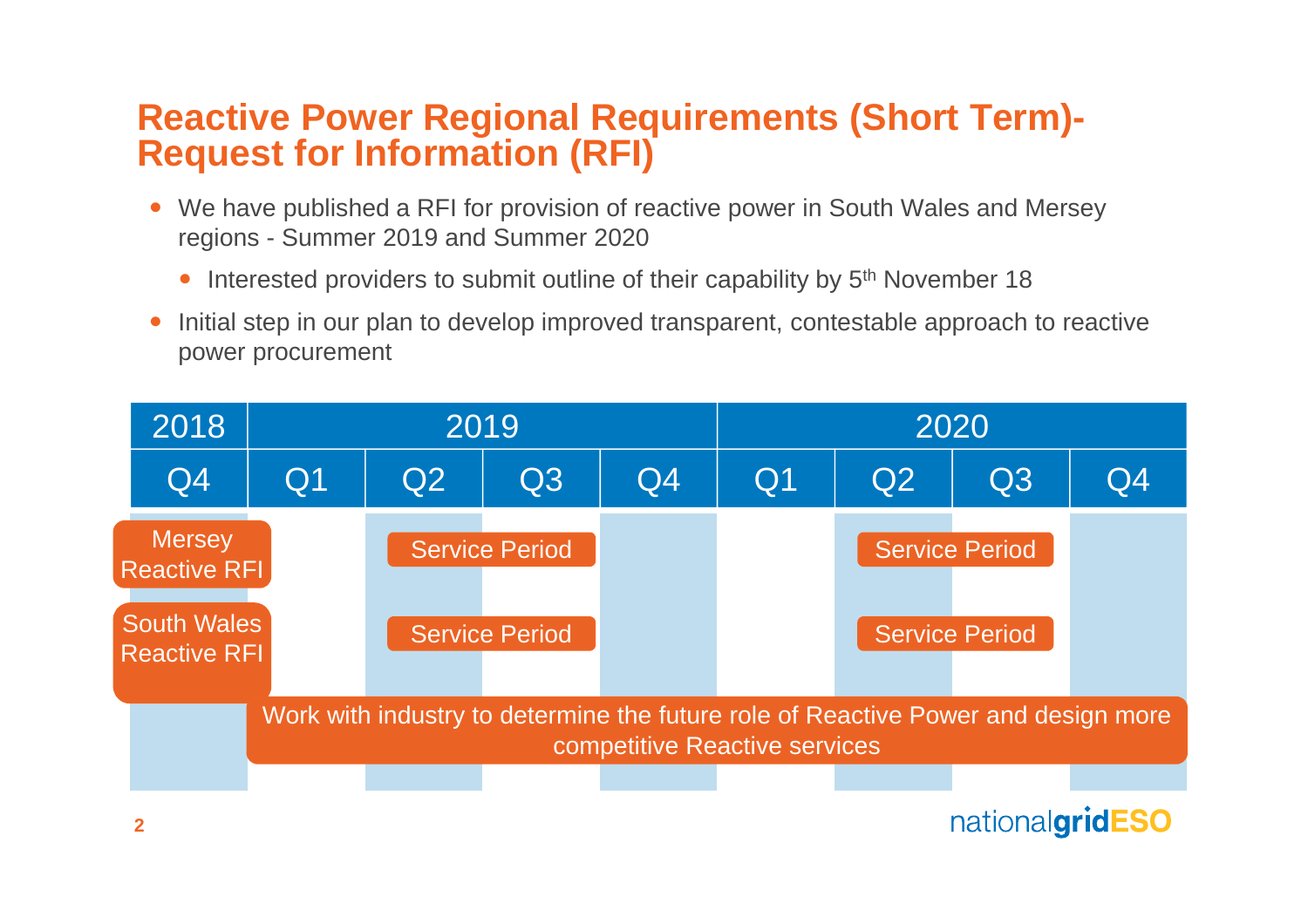#### **Reactive Power Regional Requirements (Short Term)- Request for Information (RFI)**

- We have published a RFI for provision of reactive power in South Wales and Mersey regions - Summer 2019 and Summer 2020
	- Interested providers to submit outline of their capability by 5<sup>th</sup> November 18
- Initial step in our plan to develop improved transparent, contestable approach to reactive power procurement

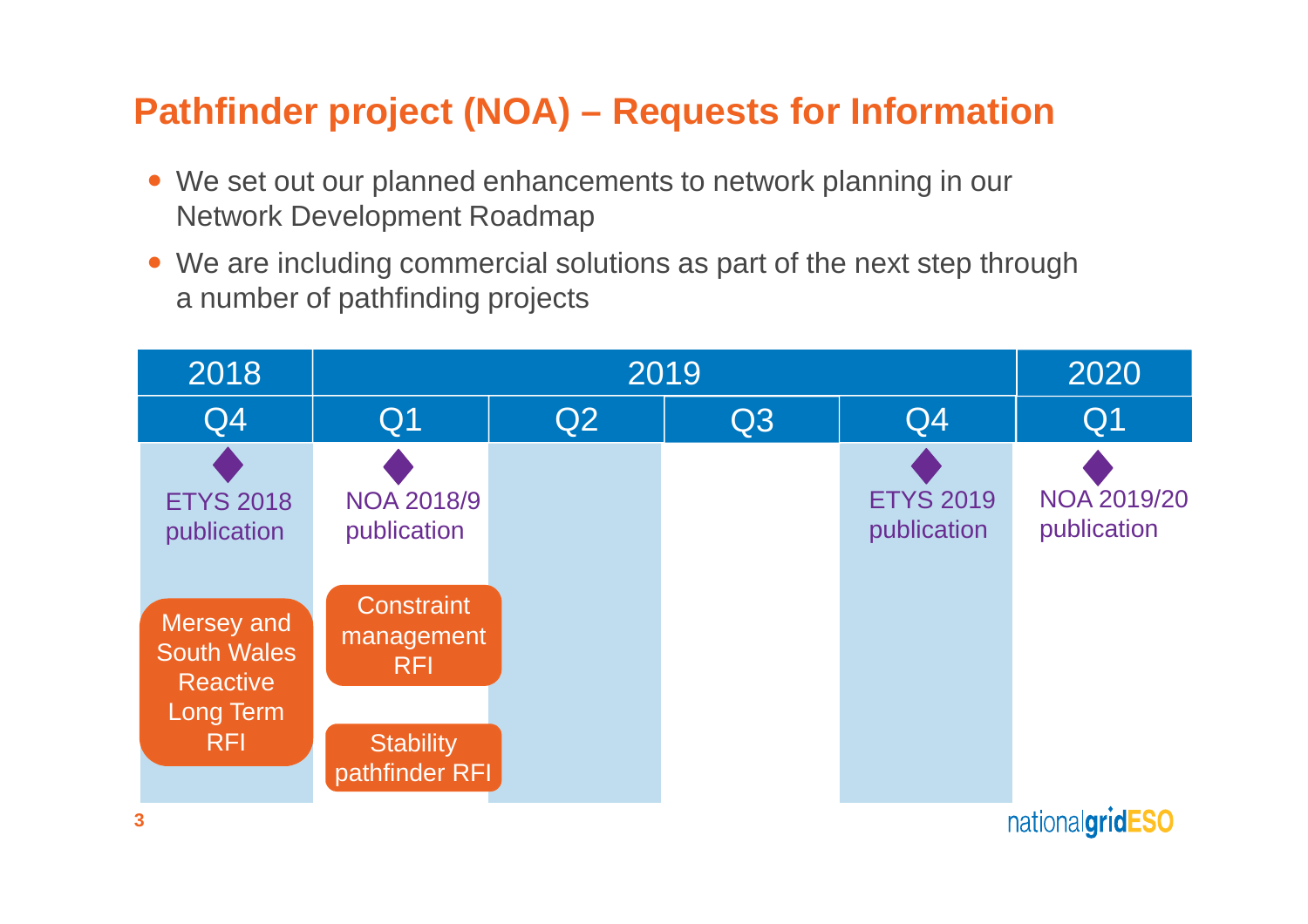# **Pathfinder project (NOA) – Requests for Information**

- We set out our planned enhancements to network planning in our Network Development Roadmap
- We are including commercial solutions as part of the next step through a number of pathfinding projects

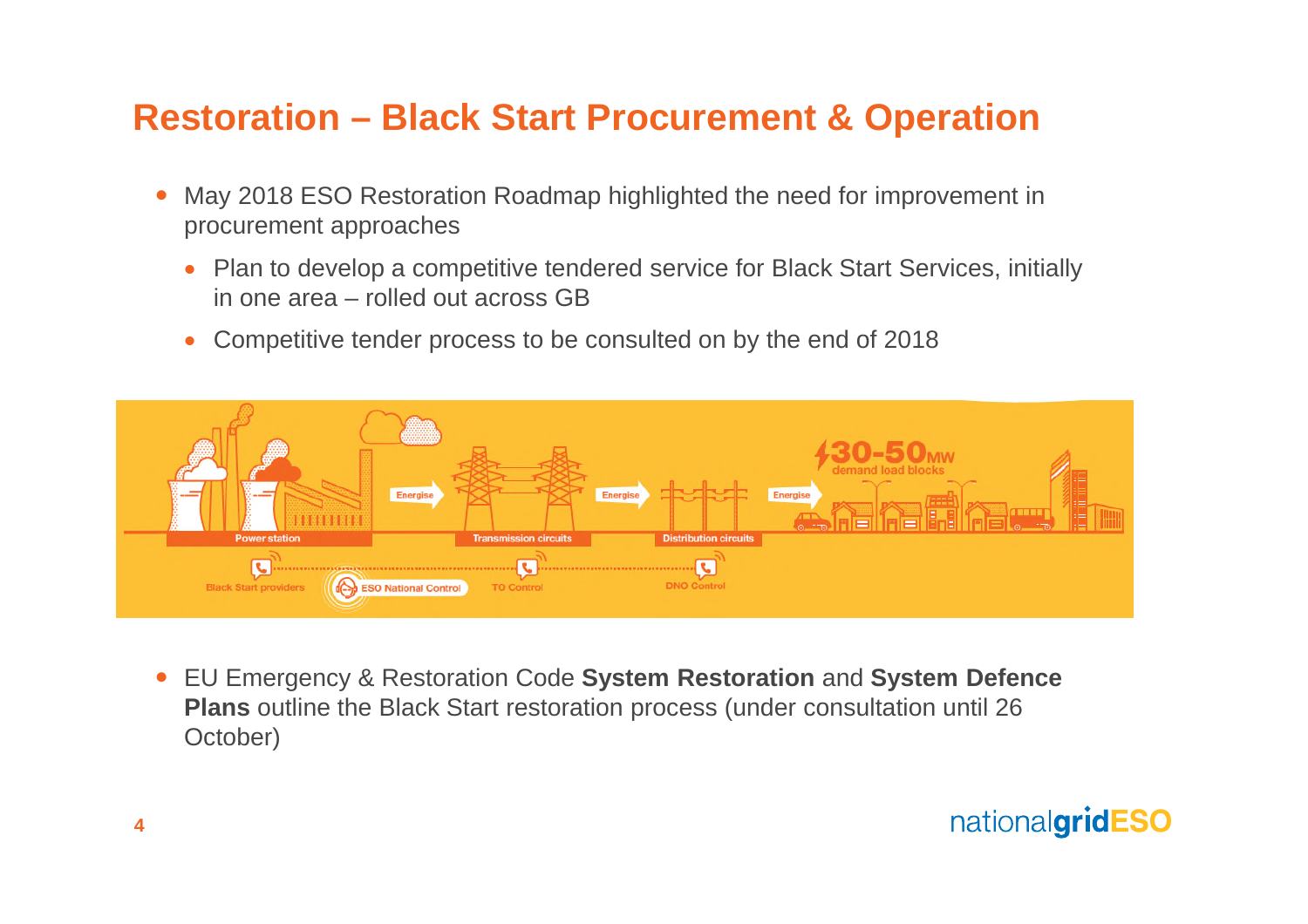## **Restoration – Black Start Procurement & Operation**

- May 2018 ESO Restoration Roadmap highlighted the need for improvement in procurement approaches
	- Plan to develop a competitive tendered service for Black Start Services, initially in one area – rolled out across GB
	- Competitive tender process to be consulted on by the end of 2018



 EU Emergency & Restoration Code **System Restoration** and **System Defence Plans** outline the Black Start restoration process (under consultation until 26 October)

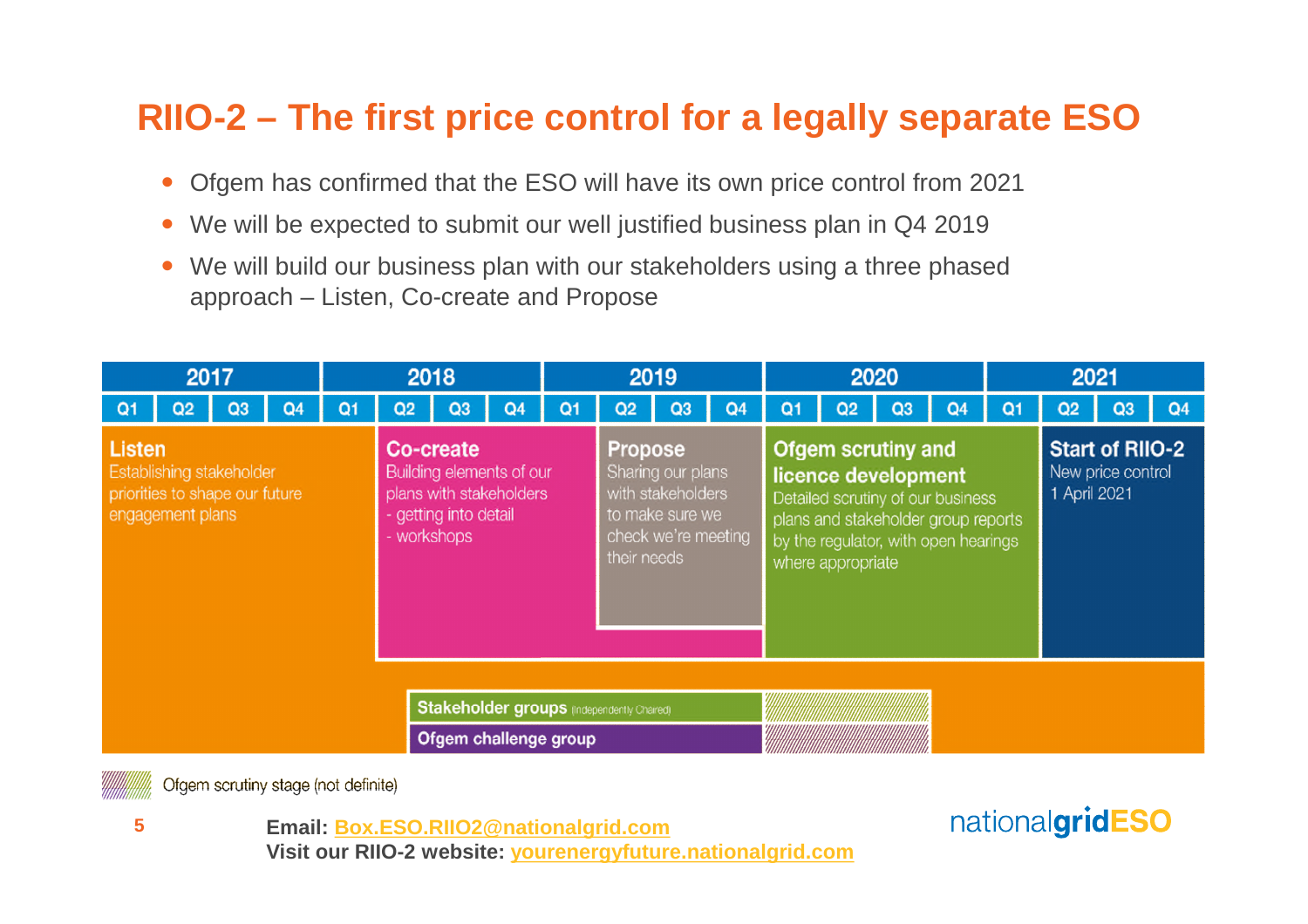## **RIIO-2 – The first price control for a legally separate ESO**

- Ofgem has confirmed that the ESO will have its own price control from 2021
- We will be expected to submit our well justified business plan in Q4 2019
- We will build our business plan with our stakeholders using a three phased approach – Listen, Co-create and Propose

| 2017                                                                                            |                |    |                | 2018 |                                            |                                                                                                          |                | 2019           |                |                                                                                                                   |                | 2020 |                                                                                                                                                                                           |                |                | 2021 |                                                             |    |                |
|-------------------------------------------------------------------------------------------------|----------------|----|----------------|------|--------------------------------------------|----------------------------------------------------------------------------------------------------------|----------------|----------------|----------------|-------------------------------------------------------------------------------------------------------------------|----------------|------|-------------------------------------------------------------------------------------------------------------------------------------------------------------------------------------------|----------------|----------------|------|-------------------------------------------------------------|----|----------------|
| $\Omega$                                                                                        | Q <sub>2</sub> | Q3 | Q <sub>4</sub> | Q1   | Q <sub>2</sub>                             | Q <sub>3</sub>                                                                                           | Q <sub>4</sub> | Q <sub>1</sub> | Q <sub>2</sub> | Q3                                                                                                                | Q <sub>4</sub> | Q1   | Q <sub>2</sub>                                                                                                                                                                            | Q <sub>3</sub> | Q <sub>4</sub> | Q1   | Q <sub>2</sub>                                              | Q3 | Q <sub>4</sub> |
| <b>Listen</b><br>Establishing stakeholder<br>priorities to shape our future<br>engagement plans |                |    |                |      |                                            | Co-create<br>Building elements of our<br>plans with stakeholders<br>- getting into detail<br>- workshops |                |                |                | <b>Propose</b><br>Sharing our plans<br>with stakeholders<br>to make sure we<br>check we're meeting<br>their needs |                |      | <b>Ofgem scrutiny and</b><br>licence development<br>Detailed scrutiny of our business<br>plans and stakeholder group reports<br>by the regulator, with open hearings<br>where appropriate |                |                |      | <b>Start of RIIO-2</b><br>New price control<br>1 April 2021 |    |                |
|                                                                                                 |                |    |                |      | Stakeholder groups (Independently Chaired) |                                                                                                          |                |                |                |                                                                                                                   |                |      |                                                                                                                                                                                           |                |                |      |                                                             |    |                |
|                                                                                                 |                |    |                |      |                                            | Ofgem challenge group                                                                                    |                |                |                |                                                                                                                   |                |      |                                                                                                                                                                                           |                |                |      |                                                             |    |                |

Ofgem scrutiny stage (not definite)

**5**

**Email: Box.ESO.RIIO2@nationalgrid.com Visit our RIIO-2 website: yourenergyfuture.nationalgrid.com**